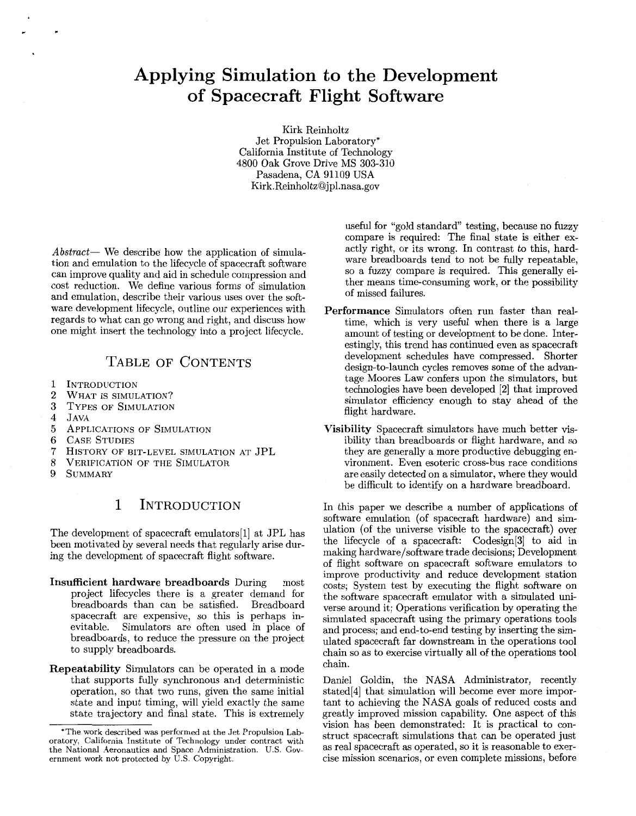# Applying Simulation to the Development of Spacecraft Flight Software

Kirk Reinholtz Jet Propulsion Laboratory\* California Institute of Technology 4800 Oak Grove Drive MS 303-310 Pasadena, CA 91109 USA [Kirk.Reinholtz@jpl.nasa.gov](mailto:Kirk.Reinholtz@jpl.nasa.gov)

*Abstract-* We describe how the application of simulation and emulation to the lifecycle of spacecraft software can improve quality and aid in schedule compression and cost reduction. We define various forms of simulation and emulation, describe their various uses over the software development lifecycle, outline our experiences with regards to what can go wrong and right, and discuss how one might insert the technology into a project lifecycle.

# TABLE OF CONTENTS

- 1 **INTRODUCTION**
- $\overline{2}$ WHAT IS SIMULATION?
- 3 TYPES OF SIMULATION
- $\overline{4}$ JAVA

**r** 

- 5 APPLICATIONS OF SIMULATION
- 6 CASE STUDIES
- $\overline{7}$ HISTORY OF BIT-LEVEL SIMULATION AT JPL
- 8 VERIFICATION OF THE SIMULATOR
- 9 SUMMARY

# 1 INTRODUCTION

The development of spacecraft emulators[l] at JPL has been motivated by several needs that regularly arise during the development of spacecraft flight software.

- **Insufficient hardware breadboards** During most project lifecycles there is a greater demand for breadboards than can be satisfied. Breadboard spacecraft are expensive, so this is perhaps inevitable. Simulators are often used in place of breadboards, to reduce the pressure on the project to supply breadboards.
- **Repeatability** Simulators can be operated in a mode that supports fully synchronous and deterministic operation, so that two runs, given the same initial state and input timing, will yield exactly the same state trajectory and final state. This is extremely

useful for "gold standard" testing, because no fuzzy compare is required: The final state is either exactly right, or its wrong. In contrast to this, hardware breadboards tend to not be fully repeatable, so a fuzzy compare is required. This generally either means time-consuming work, or the possibility of missed failures.

- **Performance** Simulators often run faster than realtime, which is very useful when there is a large amount of testing or development to be done. Interestingly, this trend has continued even as spacecraft development schedules have compressed. Shorter design-to-launch cycles removes some of the advantage Moores Law confers upon the simulators, but technologies have been developed **[2]** that improved simulator efficiency enough to stay ahead of the flight hardware.
- **Visibility** Spacecraft simulators have much better visibility than breadboards or flight hardware, and so they are generally a more productive debugging environment. Even esoteric cross-bus race conditions are easily detected on a simulator, where they would be difficult to identify on a hardware breadboard.

In this paper we describe a number of applications of software emulation (of spacecraft hardware) and simulation (of the universe visible to the spacecraft) over the lifecycle of a spacecraft: Codesign[3] to aid in making hardware/software trade decisions; Development of flight software on spacecraft software emulators to improve productivity and reduce development station costs; System test by executing the flight software on the software spacecraft emulator with a simulated universe around it; Operations verification by operating the simulated spacecraft using the primary operations tools and process; and end-to-end testing by inserting the simulated spacecraft far downstream in the operations tool chain so as to exercise virtually all of the operations tool chain.

Daniel Goldin, the NASA Administrator, recently stated[4] that simulation will become ever more important to achieving the NASA goals of reduced costs and greatly improved mission capability. One aspect of this vision has been demonstrated: It is practical to construct spacecraft simulations that can be operated just as real spacecraft as operated, so it is reasonable to exercise mission scenarios, or even complete missions, before

<sup>\*</sup>The work described was performed at the Jet Propulsion Laboratory, California Institute of Technology under contract with the National Aeronautics and Space Administration. U.S. Government work not protected by U.S. Copyright.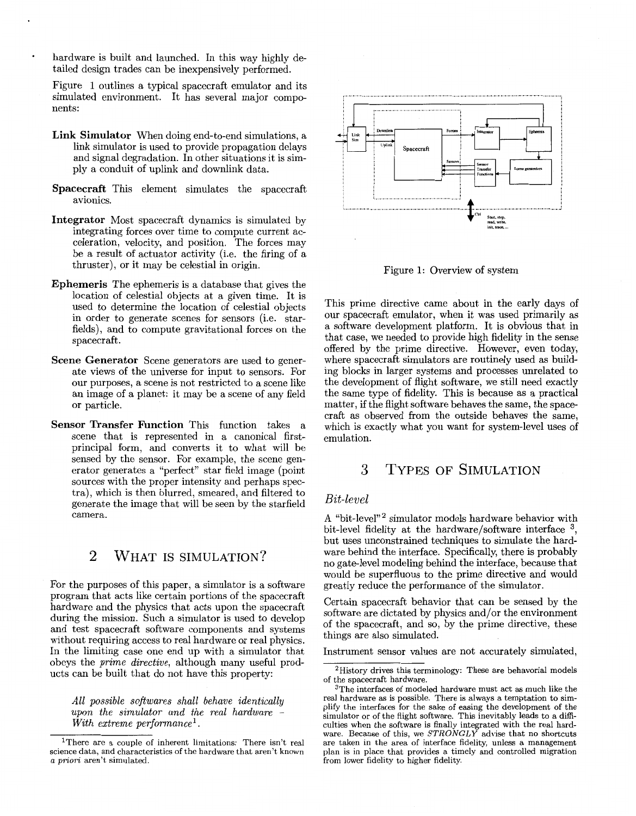hardware is built and launched. In this way highly detailed design trades can be inexpensively performed.

Figure 1 outlines a typical spacecraft emulator and its simulated environment. It has several major components:

- **Link Simulator** When doing end-to-end simulations, a link simulator is used to provide propagation delays and signal degradation. In other situations it is simply a conduit of uplink and downlink data.
- **Spacecraft** This element simulates the spacecraft avionics.
- **Integrator** Most spacecraft dynamics is simulated by integrating forces over time to compute current acceleration, velocity, and position. The forces may be a result of actuator activity (i.e. the firing of a thruster), or it may be celestial in origin.
- **Ephemeris** The ephemeris is a database that gives the location of celestial objects at a given time. It is used to determine the location of celestial objects in order to generate scenes for sensors (i.e. starfields), and to compute gravitational forces on the spacecraft.
- **Scene Generator** Scene generators are used to generate views of the universe for input to sensors. For our purposes, a scene is not restricted to a scene like an image of a planet: it may be a scene of any field or particle.
- **Sensor Transfer Function** This function takes a scene that is represented in a canonical firstprincipal form, and converts it to what will be sensed by the sensor. For example, the scene generator generates a "perfect" star field image (point sources with the proper intensity and perhaps spectra), which is then blurred, smeared, and filtered to generate the image that will be seen by the starfield camera.

# 2 WHAT IS SIMULATION?

For the purposes of this paper, a simulator is a software program that acts like certain portions of the spacecraft hardware and the physics that acts upon the spacecraft during the mission. Such a simulator is used to develop and test spacecraft software components and systems without requiring access to real hardware or real physics. In the limiting case one end up with a simulator that obeys the *prime directive,* although many useful products can be built that do not have this property:

*All possible softwares shall behave identically upon the simulator and the real hardware* - *With extreme performance'.* 



Figure 1: Overview of system

This prime directive came about in the early days of our spacecraft emulator, when it was used primarily as a software development platform. It is obvious that in that case, we needed to provide high fidelity in the sense offered by the prime directive. However, even today, where spacecraft simulators are routinely used as building blocks in larger systems and processes unrelated to the development of flight software, we still need exactly the same type of fidelity. This is because as a practical matter, if the flight software behaves the same, the spacecraft as observed from the outside behaves the same, which is exactly what you want for system-level uses of emulation.

# *3* TYPES OF SIMULATION

### *Bit-level*

**A** "bit-level"2 simulator models hardware behavior with bit-level fidelity at the hardware/software interface <sup>3</sup>, but uses unconstrained techniques to simulate the hardware behind the interface. Specifically, there is probably no gate-level modeling behind the interface, because that would be superfluous to the prime directive and would greatly reduce the performance of the simulator.

Certain spacecraft behavior that can be sensed by the software are dictated by physics and/or the environment of the spacecraft, and so, by the prime directive, these things are also simulated.

Instrument sensor values are not accurately simulated,

lThere are a couple of inherent limitations: There isn't real science data, and characteristics of the hardware that aren't known a *priori* aren't simulated.

<sup>2</sup>History drives this terminology: These are behavorial models of the spacecraft hardware.

<sup>3</sup>The interfaces of modeled hardware must act as much like the real hardware as is possible. There is always a temptation to simplify the interfaces for the sake of easing the development of the simulator or of the flight software. This inevitably leads to a difficulties when the software is finally integrated with the real hardvare. Because of this, we *STRONGLY* advise that no shortcuts re taken in the area of interface fidelity, unless a management plan is in place that provides a timely and controlled migration from lower fidelity to higher fidelity.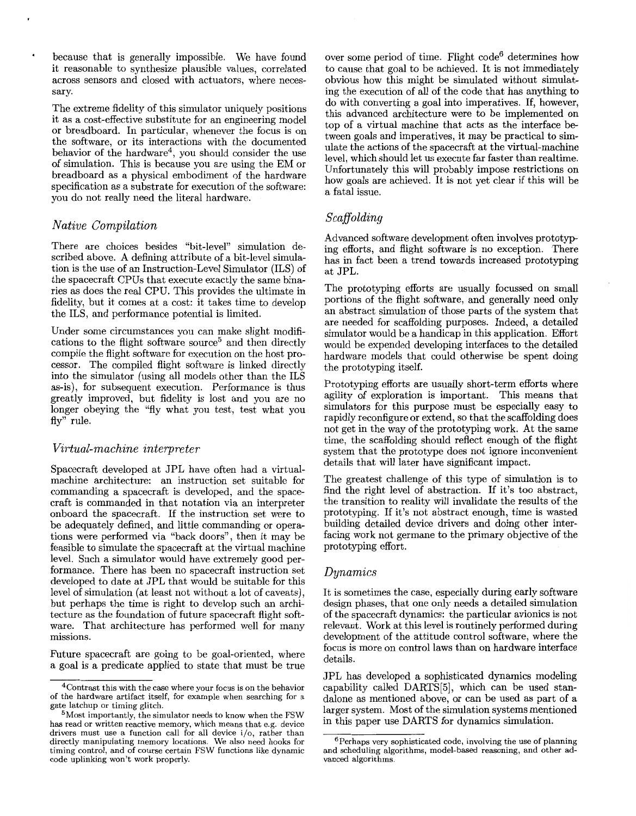' because that is generally impossible. We have found it reasonable to synthesize plausible values, correlated across sensors and closed with actuators, where necessary.

The extreme fidelity of this simulator uniquely positions it as a cost-effective substitute for an engineering model or breadboard. In particular, whenever the focus is on the software, or its interactions with the documented behavior of the hardware4, you should consider the use of simulation. This is because you are using the EM or breadboard as a physical embodiment of the hardware specification as a substrate for execution of the software: you do not really need the literal hardware.

### *Native Compilation*

There are choices besides "bit-level" simulation described above. A defining attribute of a bit-level simulation is the use of an Instruction-Level Simulator (ILS) of the spacecraft CPUs that execute exactly the same binaries as does the real CPU. This provides the ultimate in fidelity, but it comes at a cost: it takes time to develop the ILS, and performance potential is limited.

Under some circumstances you can make slight modifications to the flight software source<sup>5</sup> and then directly compile the flight software for execution on the host processor. The compiled flight software is linked directly into the simulator (using all models other than the ILS as-is), for subsequent execution. Performance is thus greatly improved, but fidelity is lost and you are no longer obeying the "fly what you test, test what you fly" rule.

#### *Virtual-machine interpreter*

Spacecraft developed at JPL have often had a virtualmachine architecture: an instruction set suitable for commanding a spacecraft is developed, and the spacecraft is commanded in that notation via an interpreter onboard the spacecraft. If the instruction set were to be adequately defined, and little commanding or operations were performed via "back doors", then it may be feasible to simulate the spacecraft at the virtual machine level. Such a simulator would have extremely good performance. There has been no spacecraft instruction set developed to date at JPL that would be suitable for this level of simulation (at least not without a lot of caveats), but perhaps the time is right to develop such an architecture as the foundation of future spacecraft flight software. That architecture has performed well for many missions.

Future spacecraft are going to be goal-oriented, where a goal is a predicate applied to state that must be true over some period of time. Flight code6 determines how to cause that goal to be achieved. It is not immediately obvious how this might be simulated without simulating the execution of all of the code that has anything to do with converting a goal into imperatives. If, however, this advanced architecture were to be implemented on top of a virtual machine that acts as the interface between goals and imperatives, it may be practical to simulate the actions of the spacecraft at the virtual-machine level, which should let us execute far faster than realtime. Unfortunately this will probably impose restrictions on how goals are achieved. It is not yet clear if this will be a fatal issue.

## *Scaffolding*

Advanced software development often involves prototyp ing efforts, and flight software is no exception. There has in fact been a trend towards increased prototyping at JPL.

The prototyping efforts are usually focussed on small portions of the flight software, and generally need only an abstract simulation of those parts of the system that are needed for scaffolding purposes. Indeed, a detailed simulator would be a handicap in this application. Effort would be expended developing interfaces to the detailed hardware models that could otherwise be spent doing the prototyping itself.

Prototyping efforts are usually short-term efforts where agility of exploration is important. This means that simulators for this purpose must be especially easy to rapidly reconfigure or extend, so that the scaffolding does not get in the way of the prototyping work. At the same time, the scaffolding should reflect enough of the flight system that the prototype does not ignore inconvenient details that will later have significant impact.

The greatest challenge of this type of simulation is to find the right level of abstraction. If it's too abstract, the transition to reality will invalidate the results of the prototyping. If it's not abstract enough, time is wasted building detailed device drivers and doing other interfacing work not germane to the primary objective of the prototyping effort.

### *Dynamics*

It is sometimes the case, especially during early software design phases, that one only needs a detailed simulation of the spacecraft dynamics: the particular avionics is not relevant. Work at this level is routinely performed during development of the attitude control software, where the focus is more on control laws than on hardware interface details.

JPL has developed a sophisticated dynamics modeling capability called DARTS[5], which can be used standalone as mentioned above, or can be used as part of a larger system. Most of the simulation systems mentioned in this paper use DARTS for dynamics simulation.

<sup>4</sup>Contrast this with the case where your focus is on the behavior of the hardware artifact itself, for example when searching for a gate latchup or timing glitch.

<sup>5</sup>Most importantly, the simulator needs to know when the FSW drivers must use a function call for all device i/o, rather than has read or written reactive memory, which means that e.g. device directly manipulating memory locations. We also need hooks for timing control, and of course certain FSW functions like dynamic code uplinking won't work properly.

 $6$ Perhaps very sophisticated code, involving the use of planning and scheduling algorithms, model-based reasoning, and other advanced algorithms.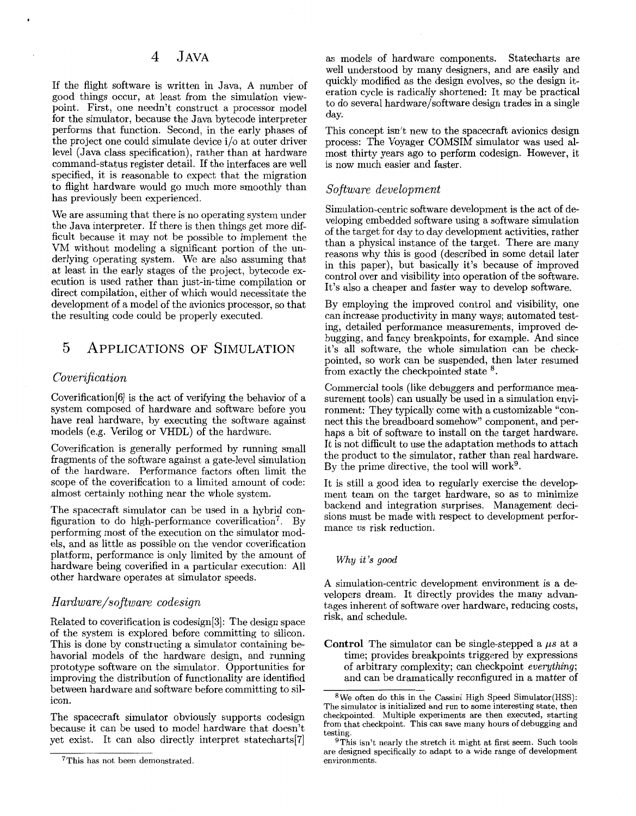# 4 JAVA

If the flight software is written in Java, A number of good things occur, at least from the simulation viewpoint. First, one needn't construct a processor model for the simulator, because the Java bytecode interpreter performs that function. Second, in the early phases of the project one could simulate device i/o at outer driver level (Java class specification), rather than at hardware command-status register detail. If the interfaces are well specified, it is reasonable to expect that the migration to flight hardware would go much more smoothly than has previously been experienced.

We are assuming that there is no operating system under the Java interpreter. If there is then things get more difficult because it may not be possible to implement the VM without modeling a significant portion of the underlying operating system. We are also assuming that at least in the early stages of the project, bytecode execution is used rather than just-in-time compilation or direct compilation, either of which would necessitate the development of a model of the avionics processor, so that the resulting code could be properly executed.

# 5 APPLICATIONS OF SIMULATION

#### *Coverification*

Coverification[G] is the act of verifying the behavior of a system composed of hardware and software before you have real hardware, by executing the software against models (e.g. Verilog or VHDL) of the hardware.

Coverification is generally performed by running small fragments of the software against a gate-level simulation of the hardware. Performance factors often limit the scope of the coverification to a limited amount of code: almost certainly nothing near the whole system.

The spacecraft simulator can be used in a hybrid configuration to do high-performance coverification<sup>7</sup>. By performing most of the execution on the simulator models, and as little as possible on the vendor coverification platform, performance is only limited by the amount of hardware being coverified in a particular execution: All other hardware operates at simulator speeds.

#### *Hardware/software codesign*

Related to coverification is codesign[3]: The design space of the system is explored before committing to silicon. This is done by constructing a simulator containing behavorial models of the hardware design, and running prototype software on the simulator. Opportunities for improving the distribution of functionality are identified between hardware and software before committing to silicon.

The spacecraft simulator obviously supports codesign because it can be used to model hardware that doesn't yet exist. It can also directly interpret statecharts[7]

as models of hardware components. Statecharts are well understood by many designers, and are easily and quickly modified as the design evolves, *so* the design iteration cycle is radically shortened: It may be practical to do several hardware/software design trades in a single day.

This concept isn't new to the spacecraft avionics design process: The Voyager COMSIM simulator was used almost thirty years ago to perform codesign. However, it is now much easier and faster.

#### *Software development*

Simulation-centric software development is the act of developing embedded software using a software simulation of the target for day to day development activities, rather than a physical instance of the target. There are many reasons why this is good (described in some detail later in this paper), but basically it's because of improved control over and visibility into operation of the software. It's also a cheaper and faster way to develop software.

By employing the improved control and visibility, one can increase productivity in many ways; automated testing, detailed performance measurements, improved debugging, and fancy breakpoints, for example. And since it's all software, the whole simulation can be checkpointed, so work can be suspended, then later resumed from exactly the checkpointed state  $8$ .

Commercial tools (like debuggers and performance measurement tools) can usually be used in a simulation environment: They typically come with a customizable "connect this the breadboard somehow" component, and perhaps a bit of software to install on the target hardware. It is not difficult to use the adaptation methods to attach the product to the simulator, rather than real hardware. By the prime directive, the tool will work<sup>9</sup>.

It is still a good idea to regularly exercise the development team on the target hardware, so as to minimize backend and integration surprises. Management decisions must be made with respect to development performance *us* risk reduction.

#### Why *it 's good*

A simulation-centric development environment is a developers dream. It directly provides the many advantages inherent of software over hardware, reducing costs, risk, and schedule.

**Control** The simulator can be single-stepped a *ps* at a time; provides breakpoints triggered by expressions of arbitrary complexity; can checkpoint *evergthing;*  and can be dramatically reconfigured in a matter of

<sup>7</sup>This has not been demonstrated.

 $8$ We often do this in the Cassini High Speed Simulator(HSS): The simulator is initialized and run to some interesting state, then checkpointed. Multiple experiments are then executed, starting from that checkpoint. This can save many hours of debugging and testing.

 $9$ This isn't nearly the stretch it might at first seem. Such tools are designed specifically to adapt to a wide range of development environments.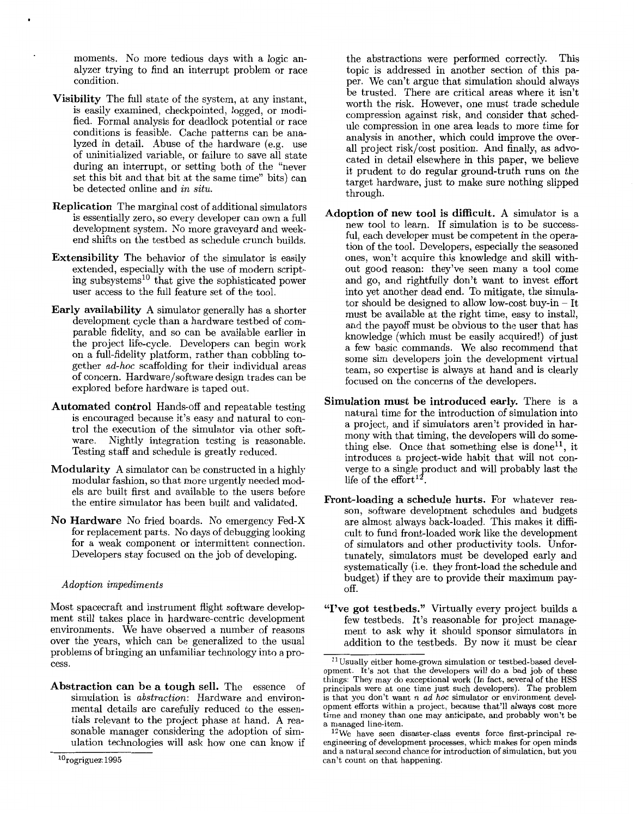moments. No more tedious days with a logic analyzer trying to find an interrupt problem or race condition.

- **Visibility** The full state of the system, at any instant, is easily examined, checkpointed, logged, or modified. Formal analysis for deadlock potential or race conditions is feasible. Cache patterns can be analyzed in detail. Abuse of the hardware (e.g. use of uninitialized variable, or failure to save all state during an interrupt, or setting both of the "never set this bit and that bit at the same time" bits) can be detected online and *in situ.*
- **Replication** The marginal cost of additional simulators is essentially zero, so every developer can own a full development system. No more graveyard and weekend shifts on the testbed as schedule crunch builds.
- **Extensibility** The behavior of the simulator is easily extended, especially with the use of modern scripting subsystems<sup>10</sup> that give the sophisticated power user access to the full feature set of the tool.
- **Early availability** A simulator generally has a shorter development cycle than a hardware testbed of comparable fidelity, and so can be available earlier in the project life-cycle. Developers can begin work on a full-fidelity platform, rather than cobbling together *ad-hoc* scaffolding for their individual areas of concern. Hardware/software design trades can be explored before hardware is taped out.
- **Automated control** Hands-off and repeatable testing is encouraged because it's easy and natural to control the execution of the simulator via other soft-<br>ware. Nightly integration testing is reasonable. Nightly integration testing is reasonable. Testing staff and schedule is greatly reduced.
- **Modularity A** simulator can be constructed in a highly modular fashion, so that more urgently needed models are built first and available to the users before the entire simulator has been built and validated.
- **No Hardware** No fried boards. No emergency Fed-X for replacement parts. No days of debugging looking for a weak component or intermittent connection. Developers stay focused on the job of developing.

#### *Adoption impediments*

Most spacecraft and instrument flight software development still takes place in hardware-centric development environments. We have observed a number of reasons over the years, which can be generalized to the usual problems of bringing an unfamiliar technology into a process.

**Abstraction can be a tough sell.** The essence of simulation is *abstraction:* Hardware and environmental details are carefully reduced to the essentials relevant to the project phase at hand. **A** reasonable manager considering the adoption of simulation technologies will ask how one can know if

the abstractions were performed correctly. This topic is addressed in another section of this paper. We can't argue that simulation should always be trusted. There are critical areas where it isn't worth the risk. However, one must trade schedule compression against risk, and consider that schedule compression in one area leads to more time for analysis in another, which could improve the overall project risk/cost position. And finally, as advocated in detail elsewhere in this paper, we believe it prudent to do regular ground-truth runs on the target hardware, just to make sure nothing slipped through.

- **Adoption of new tool is difficult.** A simulator is a new tool to learn. If simulation is to be successful, each developer must be competent in the operation of the tool. Developers, especially the seasoned ones, won't acquire this knowledge and skill without good reason: they've seen many a tool come and go, and rightfully don't want to invest effort into yet another dead end. To mitigate, the simulator should be designed to allow low-cost buy-in - It must be available at the right time, easy to install, and the payoff must be obvious to the user that has knowledge (which must be easily acquired!) of just a few basic commands. We also recommend that some sim developers join the development virtual team, so expertise is always at hand and is clearly focused on the concerns of the developers.
- **Simulation must be introduced early.** There is a natural time for the introduction of simulation into a project, and if simulators aren't provided in harmony with that timing, the developers will do something else. Once that something else is done<sup>11</sup>, it introduces a project-wide habit that will not converge to a single product and will probably last the life of the effort<sup>12</sup>.
- **Front-loading a schedule hurts.** For whatever reason, software development schedules and budgets are almost always back-loaded. This makes it difficult to fund front-loaded work like the development of simulators and other productivity tools. Unfortunately, simulators must be developed early and systematically (i.e. they front-load the schedule and budget) if they are to provide their maximum pay-**Off.**
- **"I've got testbeds."** Virtually every project builds a few testbeds. It's reasonable for project management to ask why it should sponsor simulators in addition to the testbeds. By now it must be clear ~

 $10$ rogriguez: 1995

 $11$ Usually either home-grown simulation or testbed-based development. It's not that the developers will do a bad job of these things: They may do exceptional work (In fact, several of the HSS principals were at one time just such developers). The problem is that you don't want *n ad hoc* simulator or environment development efforts within a project, because that'll always cost more time and money than one may anticipate, and probably won't be a managed line-item.

 $12\,\text{We}$  have seen disaster-class events force first-principal reengineering of development processes, which makes for open minds and a natural second chance for introduction of simulation, but you can't count on that happening.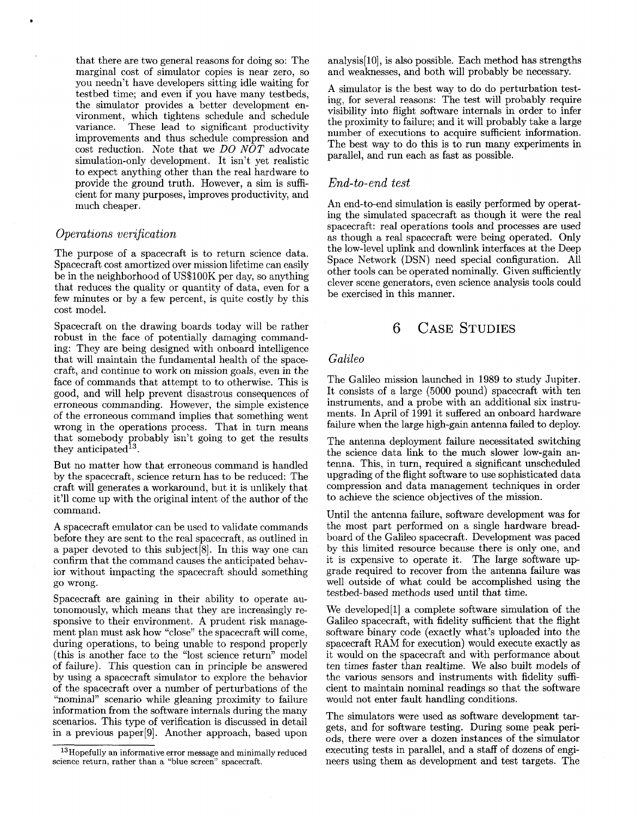that there are two general reasons for doing so: The marginal cost of simulator copies is near zero, so you needn't have developers sitting idle waiting for testbed time; and even if you have many testbeds, the simulator provides a better development environment, which tightens schedule and schedule These lead to significant productivity improvements and thus schedule compression and cost reduction. Note that we *DO NOT* advocate simulation-only development. It isn't yet realistic to expect anything other than the real hardware to provide the ground truth. However, a sim is sufficient for many purposes, improves productivity, and much cheaper.

### *Operations verification*

.

The purpose of a spacecraft is to return science data. Spacecraft cost amortized over mission lifetime can easily be in the neighborhood of US\$100K per day, so anything that reduces the quality or quantity of data, even for a few minutes or by a few percent, is quite costly by this cost model.

Spacecraft on the drawing boards today will be rather robust in the face of potentially damaging commanding: They are being designed with onboard intelligence that will maintain the fundamental health of the spacecraft, and continue to work on mission goals, even in the face of commands that attempt to to otherwise. This is good, and will help prevent disastrous consequences of erroneous commanding. However, the simple existence of the erroneous command implies that something went wrong in the operations process. That in turn means that somebody probably isn't going to get the results they anticipated<sup>13</sup>.

But no matter how that erroneous command is handled by the spacecraft, science return has to be reduced: The craft will generates a workaround, but it is unlikely that it'll come up with the original intent of the author of the command.

A spacecraft emulator can be used to validate commands before they are sent to the real spacecraft, as outlined in a paper devoted to this subject[8]. In this way one can confirm that the command causes the anticipated behavior without impacting the spacecraft should something go wrong.

Spacecraft are gaining in their ability to operate autonomously, which means that they are increasingly responsive to their environment. A prudent risk management plan must ask how "close" the spacecraft will come, during operations, to being unable to respond properly (this is another face to the "lost science return" model of failure). This question can in principle be answered by using a spacecraft simulator to explore the behavior of the spacecraft over a number of perturbations of the "nominal" scenario while gleaning proximity to failure information from the software internals during the many scenarios. This type of verification is discussed in detail in a previous paper[9]. Another approach, based upon analysis[lO], is also possible. Each method has strengths and weaknesses, and both will probably be necessary.

A simulator is the best way to do do perturbation testing, for several reasons: The test will probably require visibility into flight software internals in order to infer the proximity to failure; and it will probably take a large number of executions to acquire sufficient information. The best way to do this is to run many experiments in parallel, and run each as fast as possible.

### *End-to-end test*

An end-to-end simulation is easily performed by operating the simulated spacecraft as though it were the real spacecraft: real operations tools and processes are used as though a real spacecraft were being operated. Only the low-level uplink and downlink interfaces at the Deep Space Network (DSN) need special configuration. All other tools can be operated nominally. Given sufficiently clever scene generators, even science analysis tools could be exercised in this manner.

# 6 **CASE** STUDIES

### *Galileo*

The Galileo mission launched in 1989 to study Jupiter. It consists of a large (5000 pound) spacecraft with ten instruments, and a probe with an additional six instruments. In April of 1991 it suffered an onboard hardware failure when the large high-gain antenna failed to deploy.

The antenna deployment failure necessitated switching the science data link to the much slower low-gain antenna. This, in turn, required a significant unscheduled upgrading of the flight software to use sophisticated data compression and data management techniques in order to achieve the science objectives of the mission.

Until the antenna failure, software development was for the most part performed on a single hardware breadboard of the Galileo spacecraft. Development was paced by this limited resource because there is only one, and it is expensive to operate it. The large software upgrade required to recover from the antenna failure was well outside of what could be accomplished using the testbed-based methods used until that time.

We developed[l] a complete software simulation of the Galileo spacecraft, with fidelity sufficient that the flight software binary code (exactly what's uploaded into the spacecraft RAM for execution) would execute exactly as it would on the spacecraft and with performance about ten times faster than realtime. We also built models of the various sensors and instruments with fidelity sufficient to maintain nominal readings so that the software would not enter fault handling conditions.

The simulators were used as software development targets, and for software testing. During some peak periods, there were over a dozen instances of the simulator executing tests in parallel, and a staff of dozens of engineers using them as development and test targets. The

<sup>13</sup>Hopefully an informative error message and minimally reduced science return, rather than a "blue screen" spacecraft.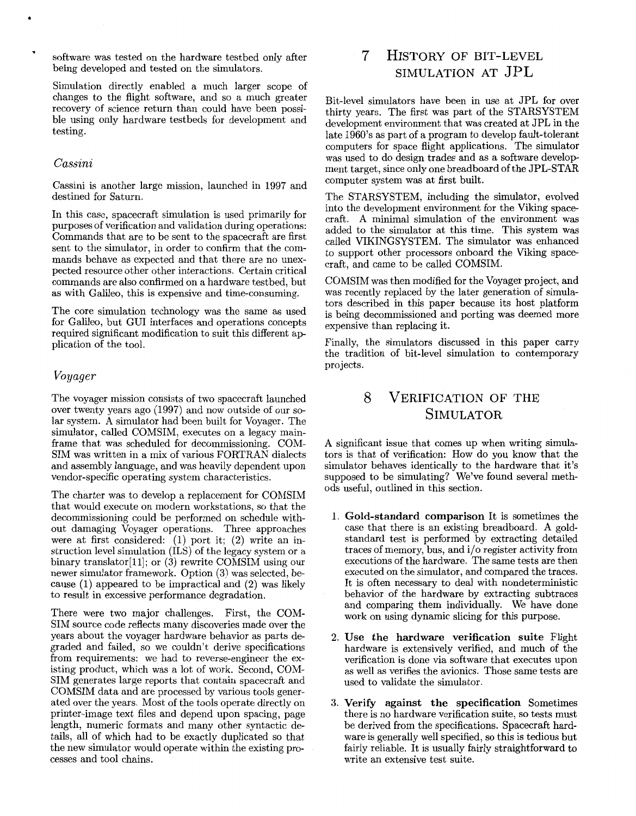software was tested on the hardware testbed only after being developed and tested on the simulators.

Simulation directly enabled a much larger scope of changes to the flight software, and so a much greater recovery of science return than could have been possible using only hardware testbeds for development and testing.

#### *Cassini*

Cassini is another large mission, launched in 1997 and destined for Saturn.

In this case, spacecraft simulation is used primarily for purposes of verification and validation during operations: Commands that are to be sent to the spacecraft are first sent to the simulator, in order to confirm that the commands behave as expected and that there are no unexpected resource other other interactions. Certain critical commands are also confirmed on a hardware testbed, but as with Galileo, this is expensive and time-consuming.

The core simulation technology was the same as used for Galileo, but GUI interfaces and operations concepts required significant modification to suit this different application of the tool.

#### Voyager

The voyager mission consists of two spacecraft launched over twenty years ago (1997) and now outside of our solar system. A simulator had been built for Voyager. The simulator, called COMSIM, executes on a legacy mainframe that was scheduled for decommissioning. COM-SIM was written in a mix of various FORTRAN dialects and assembly language, and was heavily dependent upon vendor-specific operating system characteristics.

The charter was to develop a replacement for COMSIM that would execute on modern workstations, so that the decommissioning could be performed on schedule without damaging Voyager operations. Three approaches were at first considered: (1) port it; (2) write an instruction level simulation (ILS) of the legacy system or a binary translator<sup>[11]</sup>; or (3) rewrite COMSIM using our newer simulator framework. Option *(3)* was selected, because (1) appeared to be impractical and **(2)** was likely to result in excessive performance degradation.

There were two major challenges. First, the COM-SIM source code reflects many discoveries made over the years about the voyager hardware behavior as parts degraded and failed, so we couldn't derive specifications from requirements: we had to reverse-engineer the existing product, which was a lot of work. Second, COM-SIM generates large reports that contain spacecraft and COMSIM data and are processed by various tools generated over the years. Most of the tools operate directly on printer-image text files and depend upon spacing, page length, numeric formats and many other syntactic details, all of which had to be exactly duplicated so that the new simulator would operate within the existing processes and tool chains.

# 7 HISTORY OF BIT-LEVEL SIMULATION AT JPL

Bit-level simulators have been in use at JPL for over thirty years. The first was part of the STARSYSTEM development environment that was created at JPL in the late 1960's as part of a program to develop fault-tolerant computers for space flight applications. The simulator was used to do design trades and as a software development target, since only one breadboard of the JPL-STAR computer system was at first built.

The STARSYSTEM, including the simulator, evolved into the development environment for the Viking spacecraft. A minimal simulation of the environment was added to the simulator at this time. This system was called VIKINGSYSTEM. The simulator was enhanced to support other processors onboard the Viking spacecraft, and came to be called COMSIM.

COMSIM was then modified for the Voyager project, and was recently replaced by the later generation of simulators described in this paper because its host platform is being decommissioned and porting was deemed more expensive than replacing it.

Finally, the simulators discussed in this paper carry the tradition of bit-level simulation to contemporary projects.

# *8* VERIFICATION OF THE SIMULATOR

A significant issue that comes up when writing simulators is that of verification: How do you know that the simulator behaves identically to the hardware that it's supposed to be simulating? We've found several methods useful, outlined in this section.

- 1. **Gold-standard comparison** It is sometimes the case that there is an existing breadboard. A goldstandard test is performed by extracting detailed traces of memory, bus, and i/o register activity from executions of the hardware. The same tests are then executed on the simulator, and compared the traces. It is often necessary to deal with nondeterministic behavior of the hardware by extracting subtraces and comparing them individually. We have done work on using dynamic slicing for this purpose.
- **2. Use the hardware verification suite** Flight hardware is extensively verified, and much of the verification is done via software that executes upon as well as verifies the avionics. Those same tests are used to validate the simulator.
- **3. Verify against the specification** Sometimes there is no hardware verification suite, so tests must be derived from the specifications. Spacecraft hardware is generally well specified, so this is tedious but fairly reliable. It is usually fairly straightforward to write an extensive test suite.